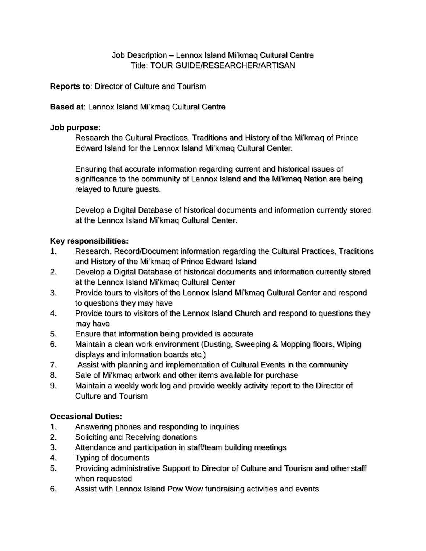# Job Description – Lennox Island Mi'kmaq Cultural Centre Title: TOUR GUIDE/RESEARCHER/ARTISAN

**Reports to**: Director of Culture and Tourism

#### **Based at**: Lennox Island Mi'kmaq Cultural Centre

#### **Job purpose**:

Research the Cultural Practices, Traditions and History of the Mi'kmaq of Prince Edward Island for the Lennox Island Mi'kmaq Cultural Center.

Ensuring that accurate information regarding current and historical issues of significance to the community of Lennox Island and the Mi'kmaq Nation are being relayed to future guests.

Develop a Digital Database of historical documents and information currently stored at the Lennox Island Mi'kmaq Cultural Center.

## **Key responsibilities:**

- 1. Research, Record/Document information regarding the Cultural Practices, Traditions and History of the Mi'kmaq of Prince Edward Island
- 2. Develop a Digital Database of historical documents and information currently stored at the Lennox Island Mi'kmaq Cultural Center
- 3. Provide tours to visitors of the Lennox Island Mi'kmaq Cultural Center and respond to questions they may have
- 4. Provide tours to visitors of the Lennox Island Church and respond to questions they may have
- 5. Ensure that information being provided is accurate
- 6. Maintain a clean work environment (Dusting, Sweeping & Mopping floors, Wiping displays and information boards etc.)
- 7. Assist with planning and implementation of Cultural Events in the community
- 8. Sale of Mi'kmaq artwork and other items available for purchase
- 9. Maintain a weekly work log and provide weekly activity report to the Director of Culture and Tourism

## **Occasional Duties:**

- 1. Answering phones and responding to inquiries
- 2. Soliciting and Receiving donations
- 3. Attendance and participation in staff/team building meetings
- 4. Typing of documents
- 5. Providing administrative Support to Director of Culture and Tourism and other staff when requested
- 6. Assist with Lennox Island Pow Wow fundraising activities and events